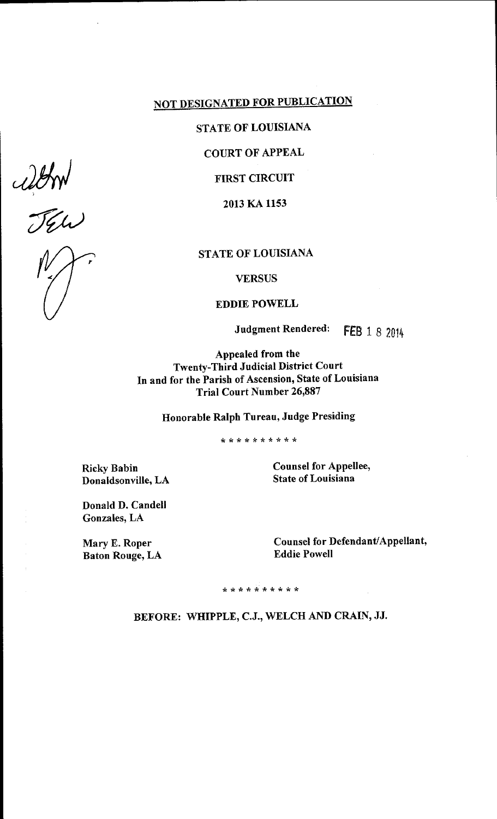# **NOT DESIGNATED FOR PUBLICATION**

# STATE OF LOUISIANA

**COURT OF APPEAL** 

**FIRST CIRCUIT** 

2013 KA 1153

## STATE OF LOUISIANA

**VERSUS** 

#### **EDDIE POWELL**

**Judgment Rendered:** FEB 1 8 2014

Appealed from the **Twenty-Third Judicial District Court** In and for the Parish of Ascension, State of Louisiana **Trial Court Number 26,887** 

Honorable Ralph Tureau, Judge Presiding

\* \* \* \* \* \* \* \* \* \* \*

**Ricky Babin** Donaldsonville, LA **Counsel for Appellee, State of Louisiana** 

Donald D. Candell Gonzales, LA

Mary E. Roper **Baton Rouge, LA**  Counsel for Defendant/Appellant, **Eddie Powell** 

\* \* \* \* \* \* \* \* \* \* \*

BEFORE: WHIPPLE, C.J., WELCH AND CRAIN, JJ.

altro<br>JEW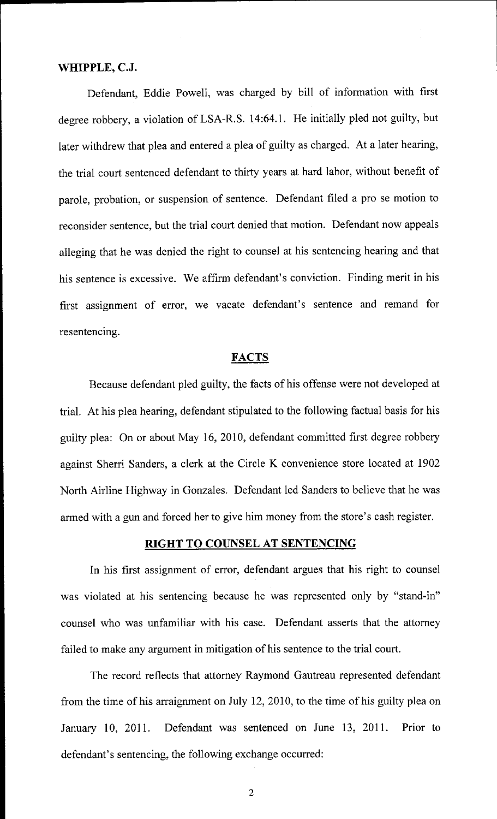#### WHIPPLE, C.J.

Defendant, Eddie Powell, was charged by bill of information with first degree robbery, a violation of LSA-R.S. 14:64.1. He initially pled not guilty, but later withdrew that plea and entered <sup>a</sup> plea of guilty as charged. At <sup>a</sup> later hearing, the trial court sentenced defendant to thirty years at hard labor, without benefit of parole, probation, ar suspension of sentence. Defendant filed <sup>a</sup> pro se motion to reconsider sentence, but the trial court denied that motion. Defendant now appeals alleging that he was denied the right to counsel at his sentencing hearing and that his sentence is excessive. We affirm defendant's conviction. Finding merit in his first assignment of error, we vacate defendant's sentence and remand for resentencing.

#### **FACTS**

Because defendant pled guilty, the facts of his offense were not developed at trial. At his plea hearing, defendant stipulated to the following factual basis for his guilty plea: On or about May 16, 2010, defendant committed first degree robbery against Sherri Sanders, a clerk at the Circle K convenience store located at 1902 North Airline Highway in Gonzales. Defendant led Sanders to believe that he was armed with a gun and forced her to give him money from the store's cash register.

### RIGHT TO COUNSEL AT SENTENCING

In his first assignment of error, defendant argues that his right to counsel was violated at his sentencing because he was represented only by "stand-in" counsel who was unfamiliar with his case. Defendant asserts that the attorney failed to make any argument in mitigation of his sentence to the trial court.

The record reflects that attorney Raymond Gautreau represented defendant from the time of his arraignment on July 12, 2010, to the time of his guilty plea on January 10, 2011. Defendant was sentenced on June 13, 2011. Prior to defendant's sentencing, the following exchange occurred:

2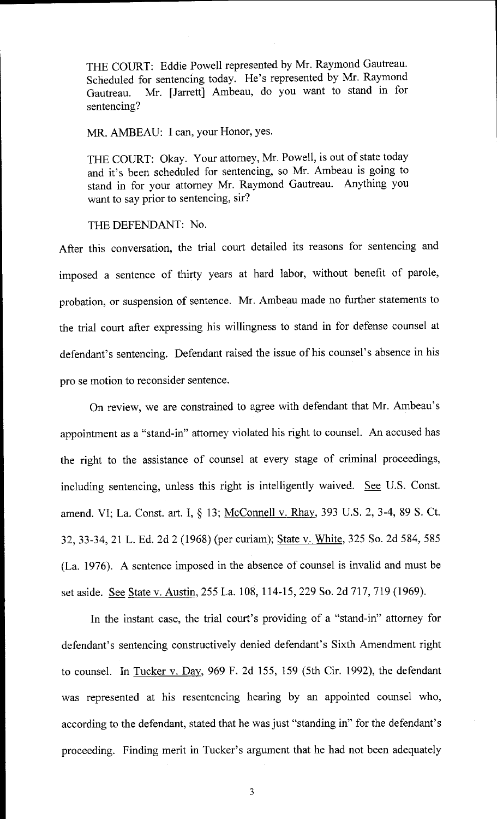THE COURT: Eddie Powell represented by Mr. Raymond Gautreau. Scheduled for sentencing today. He's represented by Mr. Raymond Gautreau. Mr. [Jarrett] Ambeau, do you want to stand in for sentencing?

MR. AMBEAU: I can, your Honor, yes.

THE COURT: Okay. Your attorney, Mr. Powell, is out of state today and it's been scheduled for sentencing, so Mr. Ambeau is going to stand in for your attorney Mr. Raymond Gautreau. Anything you want to say prior to sentencing, sir?

THE DEFENDANT: No.

After this conversation, the trial court detailed its reasons for sentencing and imposed <sup>a</sup> sentence of thirty years at hard labor, without benefit of parole, probation, or suspension of sentence. Mr. Ambeau made no further statements to the trial court after expressing his willingness to stand in for defense counsel at defendant's sentencing. Defendant raised the issue of his counsel's absence in his pro se motion to reconsider sentence.

On review, we are constrained to agree with defendant that Mr. Ambeau' <sup>s</sup> appointment as a " stand-in" attorney violated his right to counsel. An accused has the right to the assistance of counsel at every stage of criminal proceedings, including sentencing, unless this right is intelligently waived. See U.S. Const. amend. VI; La. Const. art. I, § 13; McConnell v. Rhay, 393 U.S. 2, 3-4, 89 S. Ct. 32, 33- 34, 21 L. Ed. 2d 2 ( 1968) ( per curiam); State v. White, 325 So. 2d 584, 585 La. 1976). A sentence imposed in the absence of counsel is invalid and must be set aside. See State v. Austin, 255 La. 108, 114- 15, 229 So. 2d 717, 719 ( 1969).

In the instant case, the trial court's providing of a "stand-in" attorney for defendant's sentencing constructively denied defendant's Sixth Amendment right to counsel. In Tucker v. Dav, 969 F. 2d 155, 159 ( Sth Cir. 1992), the defendant was represented at his resentencing hearing by an appointed counsel who, according to the defendant, stated that he was just "standing in" for the defendant's proceeding. Finding merit in Tucker's argument that he had not been adequately

3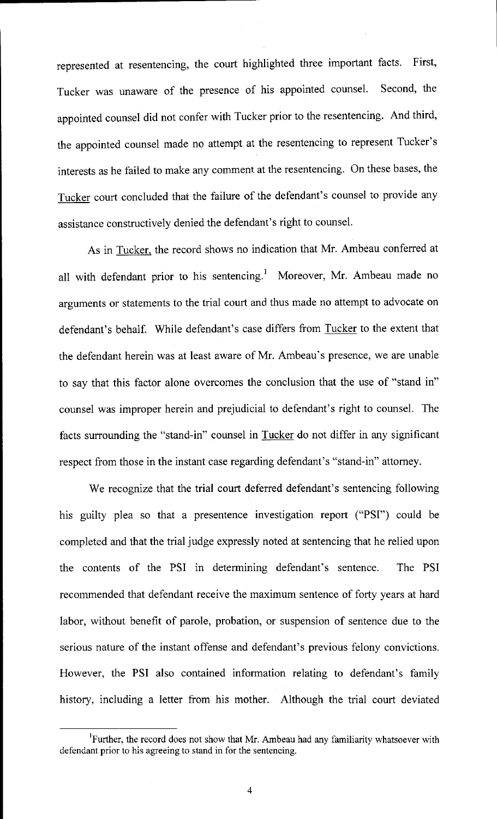represented at resentencing, the court highlighted three important facts. First, Tucker was unaware of the presence of his appointed counsel. Second, the appointed counsel did not confer with Tucker prior to the resentencing. And third, the appointed counsel made no attempt at the resentencing to represent Tucker's interests as he failed to make any comment at the resentencing. On these bases, the Tucker court concluded that the failure of the defendant's counsel to provide any assistance constructively denied the defendant's right to counsel.

As in Tucker, the record shows no indication that Mr. Ambeau conferred at all with defendant prior to his sentencing.<sup>1</sup> Moreover, Mr. Ambeau made no arguments or statements to the trial court and thus made no attempt to advocate on defendant's behalf. While defendant's case differs from Tucker to the extent that the defendant herein was at least aware of Mr. Ambeau's presence, we are unable to say that this factor alone overcomes the conclusion that the use of "stand in" counsel was improper herein and prejudicial to defendant's right to counsel. The facts surrounding the "stand-in" counsel in Tucker do not differ in any significant respect from those in the instant case regarding defendant's "stand-in" attorney.

We recognize that the trial court deferred defendant's sentencing following his guilty plea so that a presentence investigation report ("PSI") could be completed and that the trial judge expressly noted at sentencing that he relied upon the contents of the PSI in determining defendant's sentence. The PSI recommended that defendant receive the maximum sentence of forty years at hard labor, without benefit of parole, probation, or suspension of sentence due to the serious nature of the instant offense and defendant's previous felony convictions. However, the PSI also contained information relating to defendant's family history, including <sup>a</sup> letter from his mother. Although the trial court deviated

<sup>&</sup>lt;sup>I</sup>Further, the record does not show that Mr. Ambeau had any familiarity whatsoever with defendant prior to his agreeing to stand in for the sentencing.